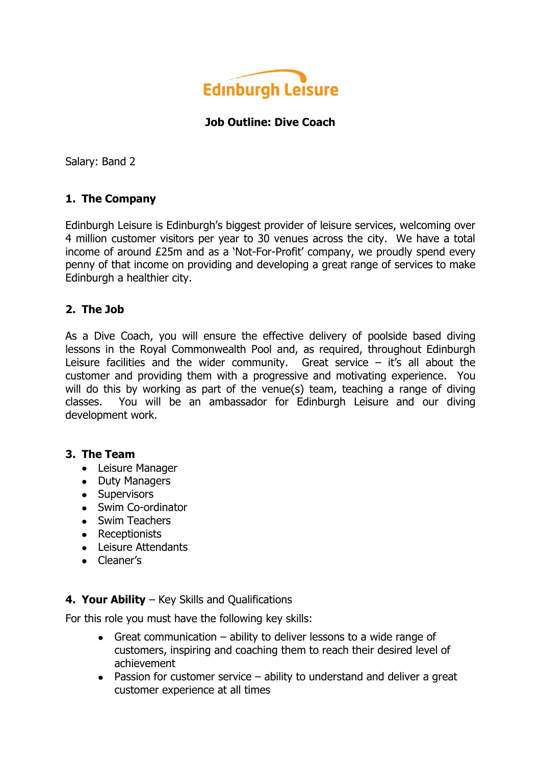

### **Job Outline: Dive Coach**

Salary: Band 2

## **1. The Company**

Edinburgh Leisure is Edinburgh's biggest provider of leisure services, welcoming over 4 million customer visitors per year to 30 venues across the city. We have a total income of around £25m and as a 'Not-For-Profit' company, we proudly spend every penny of that income on providing and developing a great range of services to make Edinburgh a healthier city.

## **2. The Job**

As a Dive Coach, you will ensure the effective delivery of poolside based diving lessons in the Royal Commonwealth Pool and, as required, throughout Edinburgh Leisure facilities and the wider community. Great service  $-$  it's all about the customer and providing them with a progressive and motivating experience. You will do this by working as part of the venue(s) team, teaching a range of diving classes. You will be an ambassador for Edinburgh Leisure and our diving development work.

#### **3. The Team**

- Leisure Manager
- Duty Managers
- Supervisors
- Swim Co-ordinator
- Swim Teachers
- Receptionists
- Leisure Attendants
- Cleaner's

### **4. Your Ability** – Key Skills and Qualifications

For this role you must have the following key skills:

- Great communication ability to deliver lessons to a wide range of customers, inspiring and coaching them to reach their desired level of achievement
- Passion for customer service ability to understand and deliver a great customer experience at all times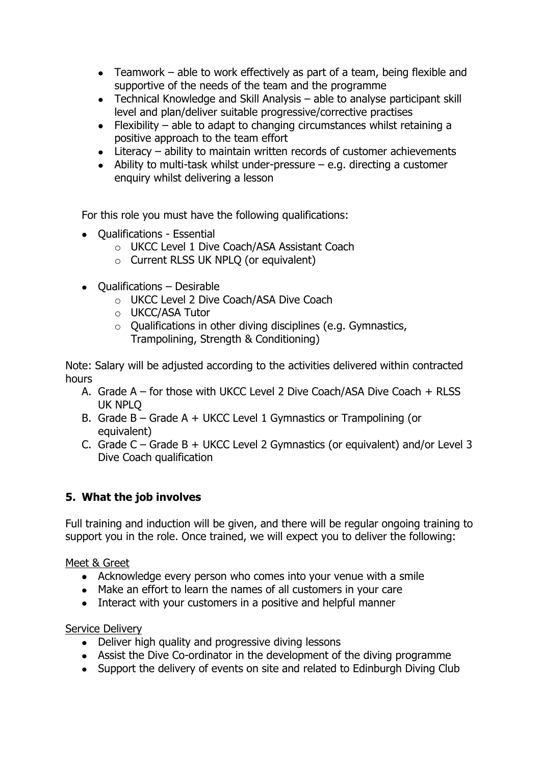- Teamwork able to work effectively as part of a team, being flexible and supportive of the needs of the team and the programme
- Technical Knowledge and Skill Analysis able to analyse participant skill level and plan/deliver suitable progressive/corrective practises
- Flexibility able to adapt to changing circumstances whilst retaining a  $\bullet$ positive approach to the team effort
- Literacy ability to maintain written records of customer achievements
- $\bullet$  Ability to multi-task whilst under-pressure  $-$  e.g. directing a customer enquiry whilst delivering a lesson

For this role you must have the following qualifications:

- Oualifications Essential
	- o UKCC Level 1 Dive Coach/ASA Assistant Coach
	- o Current RLSS UK NPLQ (or equivalent)
- $\bullet$  Oualifications Desirable
	- o UKCC Level 2 Dive Coach/ASA Dive Coach
	- o UKCC/ASA Tutor
	- $\circ$  Oualifications in other diving disciplines (e.g. Gymnastics, Trampolining, Strength & Conditioning)

Note: Salary will be adjusted according to the activities delivered within contracted hours

- A. Grade A for those with UKCC Level 2 Dive Coach/ASA Dive Coach + RLSS UK NPLQ
- B. Grade B Grade A + UKCC Level 1 Gymnastics or Trampolining (or equivalent)
- C. Grade C Grade B + UKCC Level 2 Gymnastics (or equivalent) and/or Level 3 Dive Coach qualification

# **5. What the job involves**

Full training and induction will be given, and there will be regular ongoing training to support you in the role. Once trained, we will expect you to deliver the following:

### Meet & Greet

- Acknowledge every person who comes into your venue with a smile
- Make an effort to learn the names of all customers in your care
- Interact with your customers in a positive and helpful manner

### Service Delivery

- Deliver high quality and progressive diving lessons
- Assist the Dive Co-ordinator in the development of the diving programme
- Support the delivery of events on site and related to Edinburgh Diving Club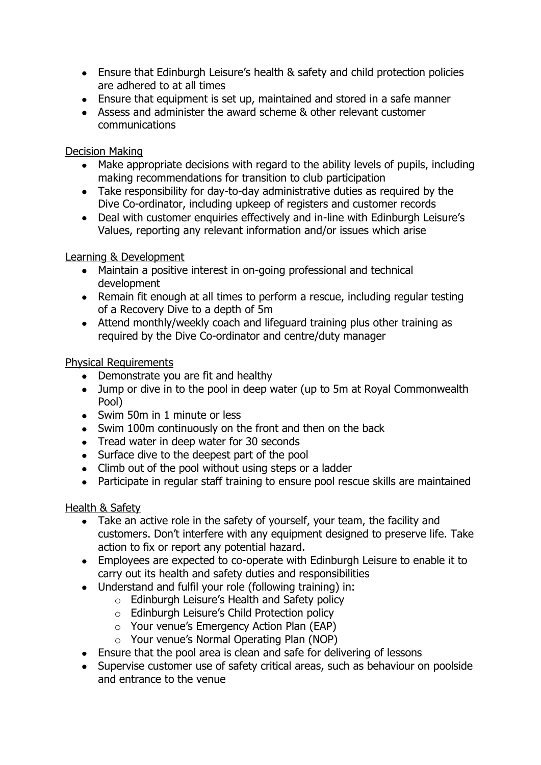- Ensure that Edinburgh Leisure's health & safety and child protection policies are adhered to at all times
- Ensure that equipment is set up, maintained and stored in a safe manner
- Assess and administer the award scheme & other relevant customer communications

# Decision Making

- Make appropriate decisions with regard to the ability levels of pupils, including making recommendations for transition to club participation
- Take responsibility for day-to-day administrative duties as required by the Dive Co-ordinator, including upkeep of registers and customer records
- Deal with customer enquiries effectively and in-line with Edinburgh Leisure's Values, reporting any relevant information and/or issues which arise

## Learning & Development

- Maintain a positive interest in on-going professional and technical development
- Remain fit enough at all times to perform a rescue, including regular testing of a Recovery Dive to a depth of 5m
- Attend monthly/weekly coach and lifeguard training plus other training as required by the Dive Co-ordinator and centre/duty manager

# Physical Requirements

- Demonstrate you are fit and healthy
- Jump or dive in to the pool in deep water (up to 5m at Royal Commonwealth Pool)
- Swim 50m in 1 minute or less
- Swim 100m continuously on the front and then on the back
- Tread water in deep water for 30 seconds
- Surface dive to the deepest part of the pool
- Climb out of the pool without using steps or a ladder
- Participate in regular staff training to ensure pool rescue skills are maintained

# Health & Safety

- Take an active role in the safety of yourself, your team, the facility and customers. Don't interfere with any equipment designed to preserve life. Take action to fix or report any potential hazard.
- Employees are expected to co-operate with Edinburgh Leisure to enable it to carry out its health and safety duties and responsibilities
- Understand and fulfil your role (following training) in:
	- o Edinburgh Leisure's Health and Safety policy
		- o Edinburgh Leisure's Child Protection policy
		- o Your venue's Emergency Action Plan (EAP)
		- o Your venue's Normal Operating Plan (NOP)
- Ensure that the pool area is clean and safe for delivering of lessons
- Supervise customer use of safety critical areas, such as behaviour on poolside and entrance to the venue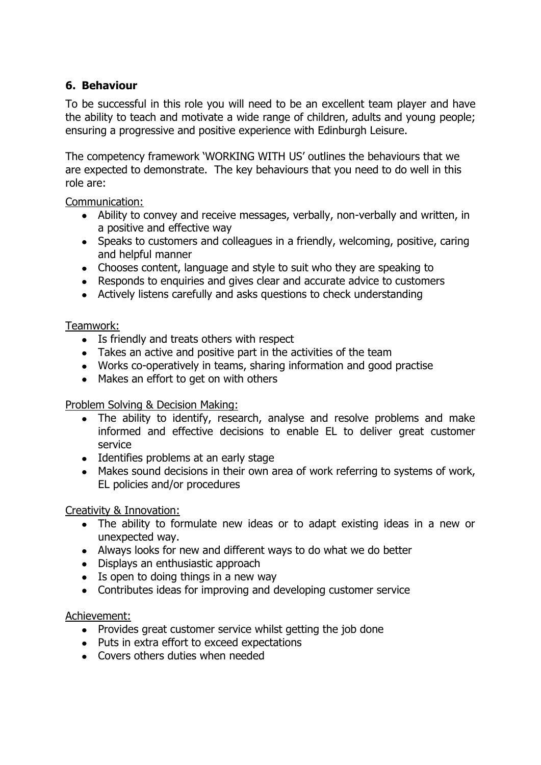# **6. Behaviour**

To be successful in this role you will need to be an excellent team player and have the ability to teach and motivate a wide range of children, adults and young people; ensuring a progressive and positive experience with Edinburgh Leisure.

The competency framework 'WORKING WITH US' outlines the behaviours that we are expected to demonstrate. The key behaviours that you need to do well in this role are:

Communication:

- Ability to convey and receive messages, verbally, non-verbally and written, in a positive and effective way
- Speaks to customers and colleagues in a friendly, welcoming, positive, caring and helpful manner
- Chooses content, language and style to suit who they are speaking to
- Responds to enquiries and gives clear and accurate advice to customers
- Actively listens carefully and asks questions to check understanding

### Teamwork:

- Is friendly and treats others with respect
- Takes an active and positive part in the activities of the team
- Works co-operatively in teams, sharing information and good practise
- Makes an effort to get on with others

### Problem Solving & Decision Making:

- The ability to identify, research, analyse and resolve problems and make informed and effective decisions to enable EL to deliver great customer service
- Identifies problems at an early stage
- Makes sound decisions in their own area of work referring to systems of work, EL policies and/or procedures

### Creativity & Innovation:

- The ability to formulate new ideas or to adapt existing ideas in a new or unexpected way.
- Always looks for new and different ways to do what we do better
- Displays an enthusiastic approach
- Is open to doing things in a new way
- Contributes ideas for improving and developing customer service

### Achievement:

- Provides great customer service whilst getting the job done
- Puts in extra effort to exceed expectations
- Covers others duties when needed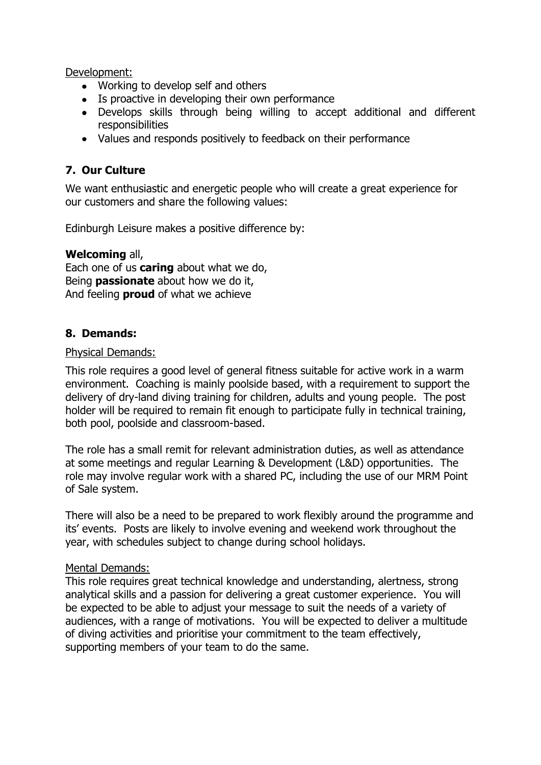Development:

- Working to develop self and others
- Is proactive in developing their own performance
- Develops skills through being willing to accept additional and different responsibilities
- Values and responds positively to feedback on their performance

# **7. Our Culture**

We want enthusiastic and energetic people who will create a great experience for our customers and share the following values:

Edinburgh Leisure makes a positive difference by:

#### **Welcoming** all,

Each one of us **caring** about what we do, Being **passionate** about how we do it, And feeling **proud** of what we achieve

## **8. Demands:**

#### Physical Demands:

This role requires a good level of general fitness suitable for active work in a warm environment. Coaching is mainly poolside based, with a requirement to support the delivery of dry-land diving training for children, adults and young people. The post holder will be required to remain fit enough to participate fully in technical training, both pool, poolside and classroom-based.

The role has a small remit for relevant administration duties, as well as attendance at some meetings and regular Learning & Development (L&D) opportunities. The role may involve regular work with a shared PC, including the use of our MRM Point of Sale system.

There will also be a need to be prepared to work flexibly around the programme and its' events. Posts are likely to involve evening and weekend work throughout the year, with schedules subject to change during school holidays.

#### Mental Demands:

This role requires great technical knowledge and understanding, alertness, strong analytical skills and a passion for delivering a great customer experience. You will be expected to be able to adjust your message to suit the needs of a variety of audiences, with a range of motivations. You will be expected to deliver a multitude of diving activities and prioritise your commitment to the team effectively, supporting members of your team to do the same.